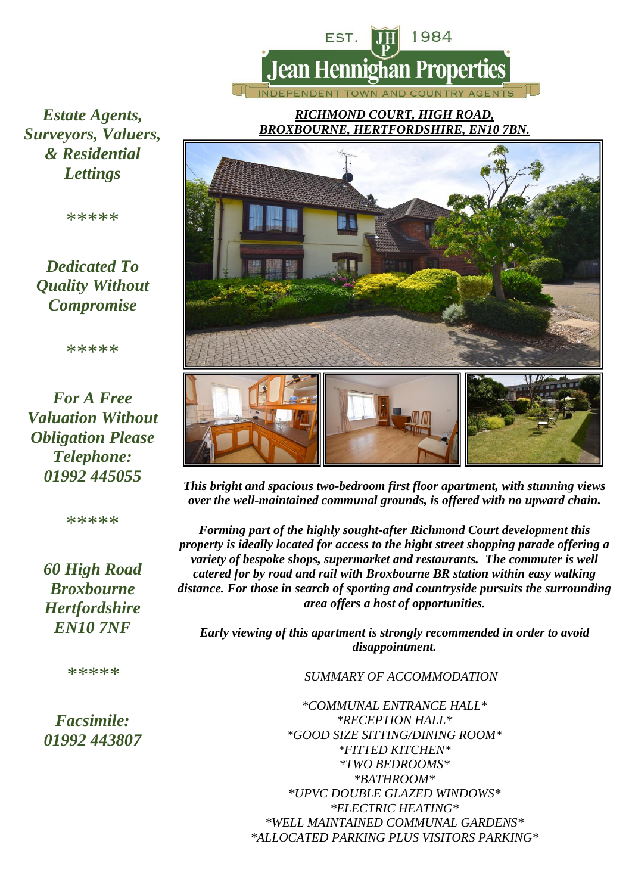

*RICHMOND COURT, HIGH ROAD, BROXBOURNE, HERTFORDSHIRE, EN10 7BN.*



*This bright and spacious two-bedroom first floor apartment, with stunning views over the well-maintained communal grounds, is offered with no upward chain.*

*Forming part of the highly sought-after Richmond Court development this property is ideally located for access to the hight street shopping parade offering a variety of bespoke shops, supermarket and restaurants. The commuter is well catered for by road and rail with Broxbourne BR station within easy walking distance. For those in search of sporting and countryside pursuits the surrounding area offers a host of opportunities.*

*Early viewing of this apartment is strongly recommended in order to avoid disappointment.*

#### *SUMMARY OF ACCOMMODATION*

*\*COMMUNAL ENTRANCE HALL\* \*RECEPTION HALL\* \*GOOD SIZE SITTING/DINING ROOM\* \*FITTED KITCHEN\* \*TWO BEDROOMS\* \*BATHROOM\* \*UPVC DOUBLE GLAZED WINDOWS\* \*ELECTRIC HEATING\* \*WELL MAINTAINED COMMUNAL GARDENS\* \*ALLOCATED PARKING PLUS VISITORS PARKING\**

*Estate Agents, Surveyors, Valuers, & Residential Lettings* 

\*\*\*\*\*

### *Dedicated To Quality Without Compromise*

\*\*\*\*\*

*For A Free Valuation Without Obligation Please Telephone: 01992 445055*

\*\*\*\*\*

*60 High Road Broxbourne Hertfordshire EN10 7NF*

*\*\*\*\*\**

*Facsimile: 01992 443807*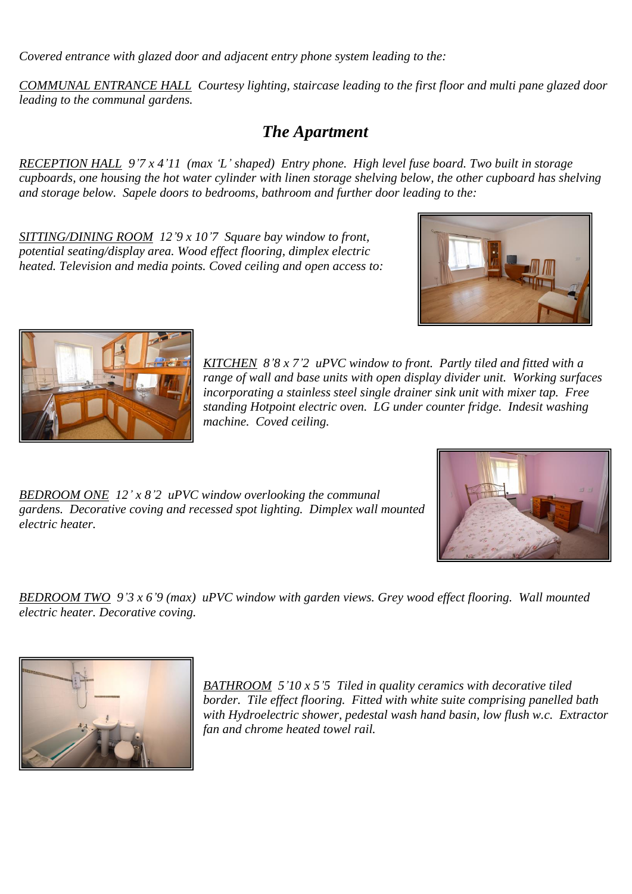*Covered entrance with glazed door and adjacent entry phone system leading to the:*

*COMMUNAL ENTRANCE HALL Courtesy lighting, staircase leading to the first floor and multi pane glazed door leading to the communal gardens.*

### *The Apartment*

*RECEPTION HALL 9'7 x 4'11 (max 'L' shaped) Entry phone. High level fuse board. Two built in storage cupboards, one housing the hot water cylinder with linen storage shelving below, the other cupboard has shelving and storage below. Sapele doors to bedrooms, bathroom and further door leading to the:*

*SITTING/DINING ROOM 12'9 x 10'7 Square bay window to front, potential seating/display area. Wood effect flooring, dimplex electric heated. Television and media points. Coved ceiling and open access to:*





*KITCHEN 8'8 x 7'2 uPVC window to front. Partly tiled and fitted with a range of wall and base units with open display divider unit. Working surfaces incorporating a stainless steel single drainer sink unit with mixer tap. Free standing Hotpoint electric oven. LG under counter fridge. Indesit washing machine. Coved ceiling.*

*BEDROOM ONE 12' x 8'2 uPVC window overlooking the communal gardens. Decorative coving and recessed spot lighting. Dimplex wall mounted electric heater.*



*BEDROOM TWO 9'3 x 6'9 (max) uPVC window with garden views. Grey wood effect flooring. Wall mounted electric heater. Decorative coving.*



*BATHROOM 5'10 x 5'5 Tiled in quality ceramics with decorative tiled border. Tile effect flooring. Fitted with white suite comprising panelled bath with Hydroelectric shower, pedestal wash hand basin, low flush w.c. Extractor fan and chrome heated towel rail.*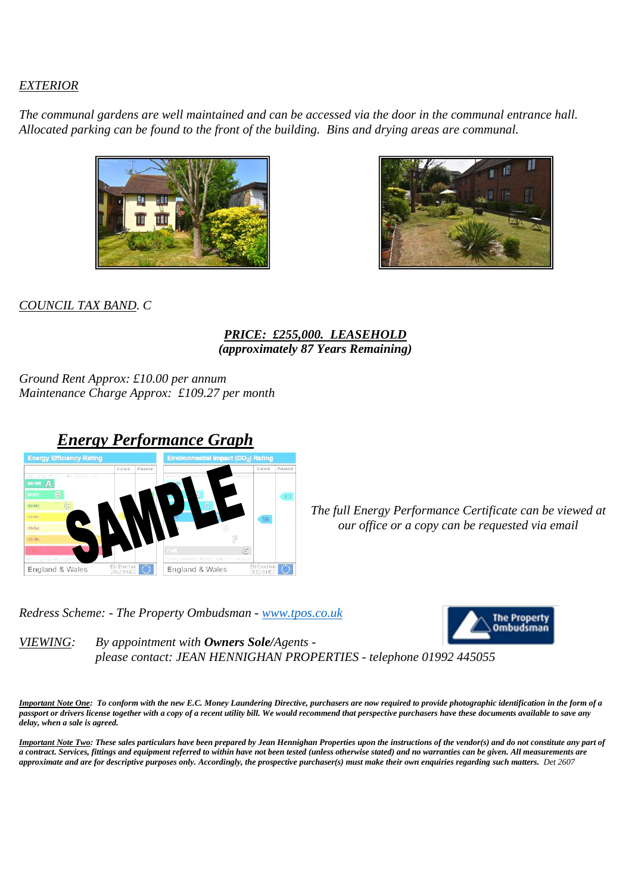#### *EXTERIOR*

*The communal gardens are well maintained and can be accessed via the door in the communal entrance hall. Allocated parking can be found to the front of the building. Bins and drying areas are communal.*



![](_page_2_Picture_3.jpeg)

*COUNCIL TAX BAND. C*

#### *PRICE: £255,000. LEASEHOLD (approximately 87 Years Remaining)*

*Ground Rent Approx: £10.00 per annum Maintenance Charge Approx: £109.27 per month*

![](_page_2_Picture_7.jpeg)

*The full Energy Performance Certificate can be viewed at our office or a copy can be requested via email*

*Redress Scheme: - The Property Ombudsman - [www.tpos.co.uk](http://www.tpos.co.uk/)*

![](_page_2_Picture_10.jpeg)

*VIEWING: By appointment with Owners Sole/Agents please contact: JEAN HENNIGHAN PROPERTIES - telephone 01992 445055* 

*Important Note One: To conform with the new E.C. Money Laundering Directive, purchasers are now required to provide photographic identification in the form of a passport or drivers license together with a copy of a recent utility bill. We would recommend that perspective purchasers have these documents available to save any delay, when a sale is agreed.* 

*Important Note Two: These sales particulars have been prepared by Jean Hennighan Properties upon the instructions of the vendor(s) and do not constitute any part of a contract. Services, fittings and equipment referred to within have not been tested (unless otherwise stated) and no warranties can be given. All measurements are approximate and are for descriptive purposes only. Accordingly, the prospective purchaser(s) must make their own enquiries regarding such matters. Det 2607*